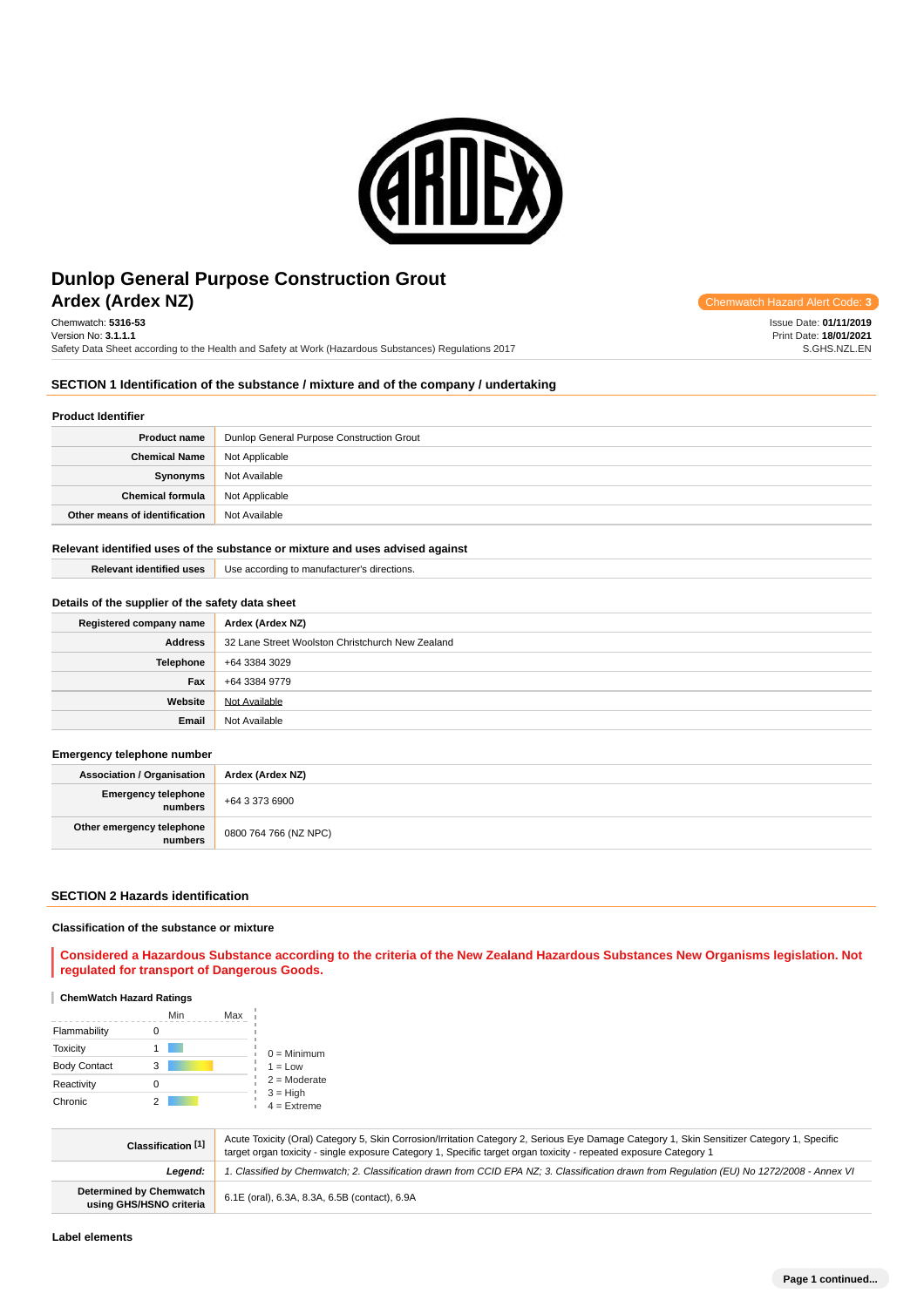

# **Ardex (Ardex NZ) Chemwatch Hazard Alert** Communication Controllering Communication Controllering Communication Controllering Controllering Controllering Controllering Controllering Controllering Controllering Controller **Dunlop General Purpose Construction Grout**

Chemwatch: **5316-53** Version No: **3.1.1.1** Safety Data Sheet according to the Health and Safety at Work (Hazardous Substances) Regulations 2017

Issue Date: **01/11/2019** Print Date: **18/01/2021** S.GHS.NZL.EN

# **SECTION 1 Identification of the substance / mixture and of the company / undertaking**

# **Product Identifier**

| <b>Product name</b>           | Dunlop General Purpose Construction Grout |  |
|-------------------------------|-------------------------------------------|--|
| <b>Chemical Name</b>          | Not Applicable                            |  |
| Synonyms                      | Not Available                             |  |
| <b>Chemical formula</b>       | Not Applicable                            |  |
| Other means of identification | Not Available                             |  |

#### **Relevant identified uses of the substance or mixture and uses advised against**

| <b>Relevant identified uses</b> | Use according to manufacturer's directions. |
|---------------------------------|---------------------------------------------|
|                                 |                                             |

# **Details of the supplier of the safety data sheet**

| Registered company name | Ardex (Ardex NZ)                                 |
|-------------------------|--------------------------------------------------|
| <b>Address</b>          | 32 Lane Street Woolston Christchurch New Zealand |
| <b>Telephone</b>        | +64 3384 3029                                    |
| Fax                     | +64 3384 9779                                    |
| Website                 | Not Available                                    |
| Email                   | Not Available                                    |

# **Emergency telephone number**

| <b>Association / Organisation</b>    | Ardex (Ardex NZ)      |  |
|--------------------------------------|-----------------------|--|
| Emergency telephone<br>numbers       | +64 3 373 6900        |  |
| Other emergency telephone<br>numbers | 0800 764 766 (NZ NPC) |  |

#### **SECTION 2 Hazards identification**

### **Classification of the substance or mixture**

**Considered a Hazardous Substance according to the criteria of the New Zealand Hazardous Substances New Organisms legislation. Not regulated for transport of Dangerous Goods.**

### **ChemWatch Hazard Ratings**

|                     |   | Max<br>Min |                             |
|---------------------|---|------------|-----------------------------|
| Flammability        |   |            |                             |
| Toxicity            |   |            | $0 =$ Minimum               |
| <b>Body Contact</b> | 3 |            | $1 = Low$                   |
| Reactivity          |   |            | $2 =$ Moderate              |
| Chronic             |   |            | $3 = High$<br>$4 =$ Extreme |

| Classification [1]                                        | Acute Toxicity (Oral) Category 5, Skin Corrosion/Irritation Category 2, Serious Eye Damage Category 1, Skin Sensitizer Category 1, Specific<br>target organ toxicity - single exposure Category 1, Specific target organ toxicity - repeated exposure Category 1 |  |
|-----------------------------------------------------------|------------------------------------------------------------------------------------------------------------------------------------------------------------------------------------------------------------------------------------------------------------------|--|
| Leaend:                                                   | I. Classified by Chemwatch; 2. Classification drawn from CCID EPA NZ; 3. Classification drawn from Requlation (EU) No 1272/2008 - Annex VI                                                                                                                       |  |
| <b>Determined by Chemwatch</b><br>using GHS/HSNO criteria | 6.1E (oral), 6.3A, 8.3A, 6.5B (contact), 6.9A                                                                                                                                                                                                                    |  |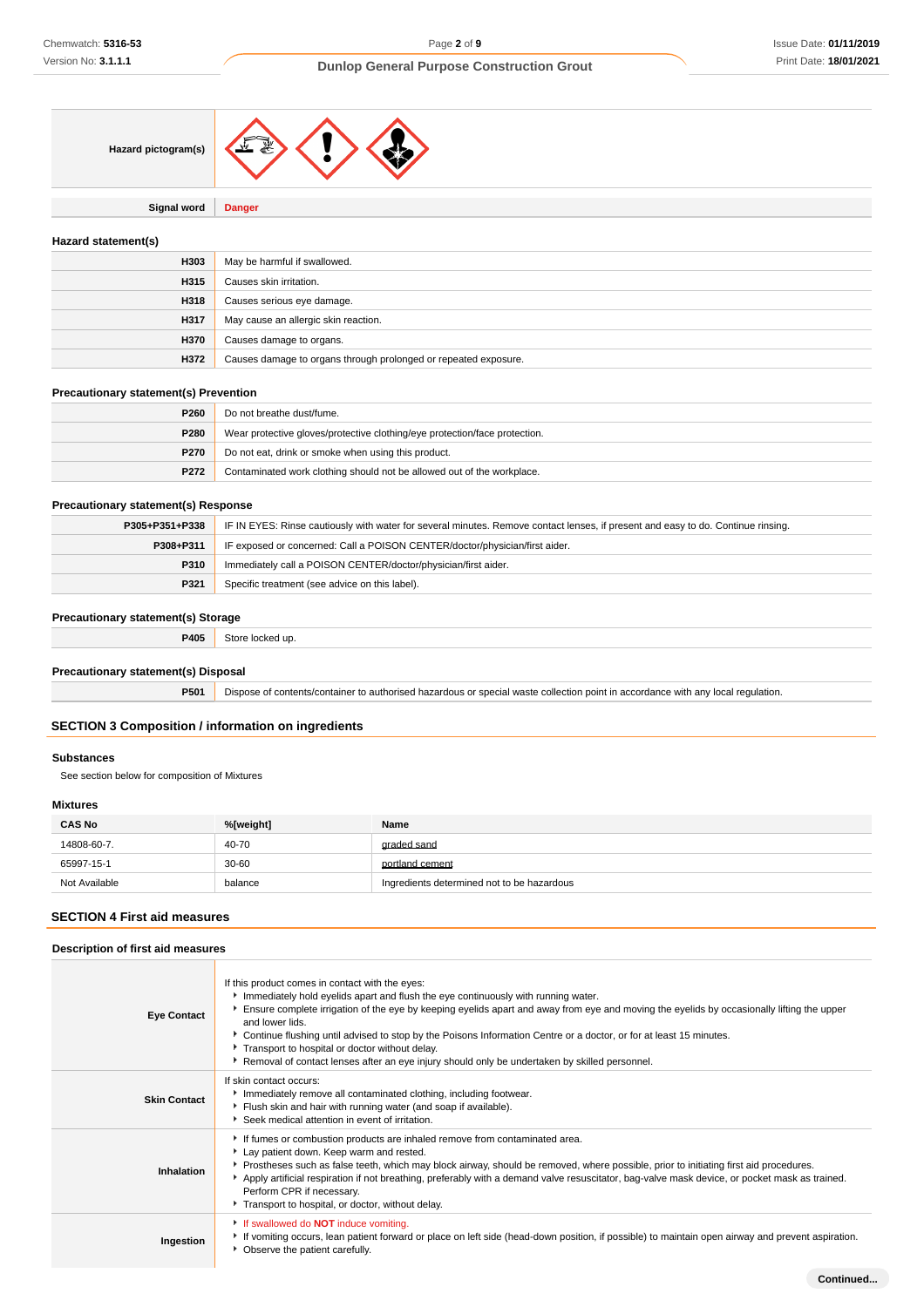

**Signal word Danger**

# **Hazard statement(s)**

| H303 | May be harmful if swallowed.                                    |
|------|-----------------------------------------------------------------|
| H315 | Causes skin irritation.                                         |
| H318 | Causes serious eye damage.                                      |
| H317 | May cause an allergic skin reaction.                            |
| H370 | Causes damage to organs.                                        |
| H372 | Causes damage to organs through prolonged or repeated exposure. |

# **Precautionary statement(s) Prevention**

| P <sub>260</sub> | Do not breathe dust/fume.                                                  |  |
|------------------|----------------------------------------------------------------------------|--|
| P280             | Wear protective gloves/protective clothing/eye protection/face protection. |  |
| P270             | Do not eat, drink or smoke when using this product.                        |  |
| P272             | Contaminated work clothing should not be allowed out of the workplace.     |  |

#### **Precautionary statement(s) Response**

| P305+P351+P338 | IF IN EYES: Rinse cautiously with water for several minutes. Remove contact lenses, if present and easy to do. Continue rinsing. |  |
|----------------|----------------------------------------------------------------------------------------------------------------------------------|--|
| P308+P311      | IF exposed or concerned: Call a POISON CENTER/doctor/physician/first aider.                                                      |  |
| P310           | Immediately call a POISON CENTER/doctor/physician/first aider.                                                                   |  |
| P321           | Specific treatment (see advice on this label).                                                                                   |  |

# **Precautionary statement(s) Storage**

| P405 |  |
|------|--|
|      |  |

# **Precautionary statement(s) Disposal**

**P501** Dispose of contents/container to authorised hazardous or special waste collection point in accordance with any local regulation.

# **SECTION 3 Composition / information on ingredients**

# **Substances**

See section below for composition of Mixtures

# **Mixtures**

| <b>CAS No</b> | %[weight] | Name                                       |
|---------------|-----------|--------------------------------------------|
| 14808-60-7.   | 40-70     | graded sand                                |
| 65997-15-1    | $30 - 60$ | portland cement                            |
| Not Available | balance   | Ingredients determined not to be hazardous |

# **SECTION 4 First aid measures**

| Description of first aid measures |                                                                                                                                                                                                                                                                                                                                                                                                                                                                                                                                                                                   |  |
|-----------------------------------|-----------------------------------------------------------------------------------------------------------------------------------------------------------------------------------------------------------------------------------------------------------------------------------------------------------------------------------------------------------------------------------------------------------------------------------------------------------------------------------------------------------------------------------------------------------------------------------|--|
| <b>Eye Contact</b>                | If this product comes in contact with the eyes:<br>Immediately hold eyelids apart and flush the eye continuously with running water.<br>Ensure complete irrigation of the eye by keeping eyelids apart and away from eye and moving the eyelids by occasionally lifting the upper<br>and lower lids.<br>▶ Continue flushing until advised to stop by the Poisons Information Centre or a doctor, or for at least 15 minutes.<br>Transport to hospital or doctor without delay.<br>▶ Removal of contact lenses after an eye injury should only be undertaken by skilled personnel. |  |
| <b>Skin Contact</b>               | If skin contact occurs:<br>Immediately remove all contaminated clothing, including footwear.<br>Flush skin and hair with running water (and soap if available).<br>▶ Seek medical attention in event of irritation.                                                                                                                                                                                                                                                                                                                                                               |  |
| Inhalation                        | If fumes or combustion products are inhaled remove from contaminated area.<br>Lay patient down. Keep warm and rested.<br>▶ Prostheses such as false teeth, which may block airway, should be removed, where possible, prior to initiating first aid procedures.<br>Apply artificial respiration if not breathing, preferably with a demand valve resuscitator, bag-valve mask device, or pocket mask as trained.<br>Perform CPR if necessary.<br>Transport to hospital, or doctor, without delay.                                                                                 |  |
| Ingestion                         | If swallowed do <b>NOT</b> induce vomiting.<br>► If vomiting occurs, lean patient forward or place on left side (head-down position, if possible) to maintain open airway and prevent aspiration.<br>• Observe the patient carefully.                                                                                                                                                                                                                                                                                                                                             |  |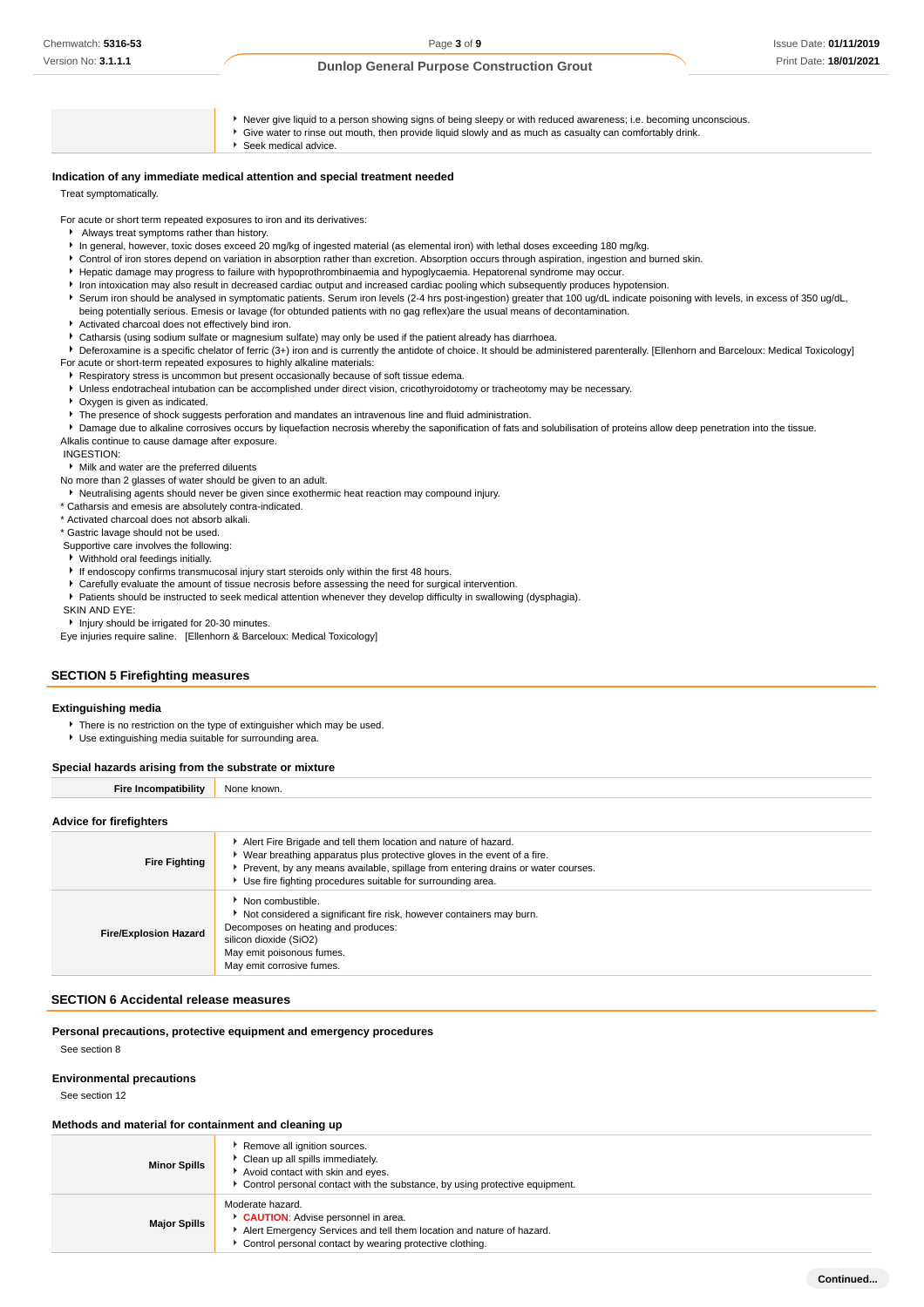Never give liquid to a person showing signs of being sleepy or with reduced awareness; i.e. becoming unconscious. Give water to rinse out mouth, then provide liquid slowly and as much as casualty can comfortably drink. Seek medical advice.

# **Indication of any immediate medical attention and special treatment needed**

Treat symptomatically.

For acute or short term repeated exposures to iron and its derivatives:

- Always treat symptoms rather than history.
- In general, however, toxic doses exceed 20 mg/kg of ingested material (as elemental iron) with lethal doses exceeding 180 mg/kg.
- Control of iron stores depend on variation in absorption rather than excretion. Absorption occurs through aspiration, ingestion and burned skin.
- Hepatic damage may progress to failure with hypoprothrombinaemia and hypoglycaemia. Hepatorenal syndrome may occur.
- Iron intoxication may also result in decreased cardiac output and increased cardiac pooling which subsequently produces hypotension.
- Serum iron should be analysed in symptomatic patients. Serum iron levels (2-4 hrs post-ingestion) greater that 100 ug/dL indicate poisoning with levels, in excess of 350 ug/dL, being potentially serious. Emesis or lavage (for obtunded patients with no gag reflex)are the usual means of decontamination.
- Activated charcoal does not effectively bind iron.
- Catharsis (using sodium sulfate or magnesium sulfate) may only be used if the patient already has diarrhoea.
- ▶ Deferoxamine is a specific chelator of ferric (3+) iron and is currently the antidote of choice. It should be administered parenterally. [Ellenhorn and Barceloux: Medical Toxicology] For acute or short-term repeated exposures to highly alkaline materials:
- Respiratory stress is uncommon but present occasionally because of soft tissue edema.
- Unless endotracheal intubation can be accomplished under direct vision, cricothyroidotomy or tracheotomy may be necessary.
- Oxygen is given as indicated.
- **F** The presence of shock suggests perforation and mandates an intravenous line and fluid administration.

**P** Damage due to alkaline corrosives occurs by liquefaction necrosis whereby the saponification of fats and solubilisation of proteins allow deep penetration into the tissue. Alkalis continue to cause damage after exposure.

INGESTION:

Milk and water are the preferred diluents

No more than 2 glasses of water should be given to an adult.

- Neutralising agents should never be given since exothermic heat reaction may compound injury.
- \* Catharsis and emesis are absolutely contra-indicated.

\* Activated charcoal does not absorb alkali.

- \* Gastric lavage should not be used.
- Supportive care involves the following:
- Withhold oral feedings initially.
- If endoscopy confirms transmucosal injury start steroids only within the first 48 hours.
- Carefully evaluate the amount of tissue necrosis before assessing the need for surgical intervention.
- Patients should be instructed to seek medical attention whenever they develop difficulty in swallowing (dysphagia).
- SKIN AND EYE:

**Injury should be irrigated for 20-30 minutes.** 

Eye injuries require saline. [Ellenhorn & Barceloux: Medical Toxicology]

# **SECTION 5 Firefighting measures**

#### **Extinguishing media**

- There is no restriction on the type of extinguisher which may be used.
- Use extinguishing media suitable for surrounding area.

#### **Special hazards arising from the substrate or mixture**

**Fire Incompatibility** None known.

#### **Advice for firefighters**

| <b>Fire Fighting</b>         | Alert Fire Brigade and tell them location and nature of hazard.<br>► Wear breathing apparatus plus protective gloves in the event of a fire.<br>▶ Prevent, by any means available, spillage from entering drains or water courses.<br>Use fire fighting procedures suitable for surrounding area. |
|------------------------------|---------------------------------------------------------------------------------------------------------------------------------------------------------------------------------------------------------------------------------------------------------------------------------------------------|
| <b>Fire/Explosion Hazard</b> | ▶ Non combustible.<br>Not considered a significant fire risk, however containers may burn.<br>Decomposes on heating and produces:<br>silicon dioxide (SiO2)<br>May emit poisonous fumes.<br>May emit corrosive fumes.                                                                             |

#### **SECTION 6 Accidental release measures**

**Personal precautions, protective equipment and emergency procedures** See section 8

### **Environmental precautions**

See section 12

# **Methods and material for containment and cleaning up**

| <b>Minor Spills</b> | Remove all ignition sources.<br>Clean up all spills immediately.<br>Avoid contact with skin and eyes.<br>► Control personal contact with the substance, by using protective equipment.        |
|---------------------|-----------------------------------------------------------------------------------------------------------------------------------------------------------------------------------------------|
| <b>Major Spills</b> | Moderate hazard.<br>CAUTION: Advise personnel in area.<br>Alert Emergency Services and tell them location and nature of hazard.<br>• Control personal contact by wearing protective clothing. |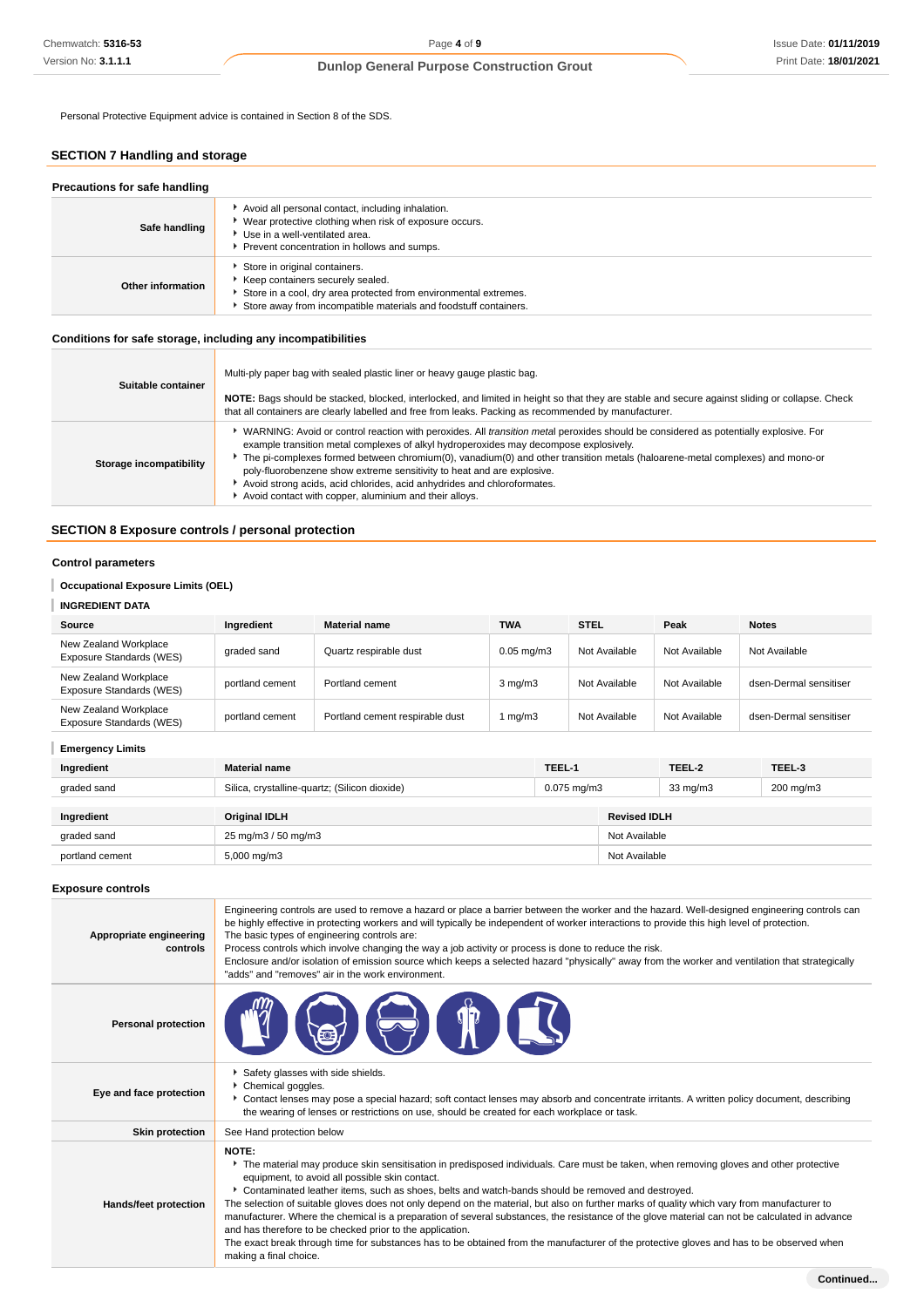Personal Protective Equipment advice is contained in Section 8 of the SDS.

# **SECTION 7 Handling and storage**

| Precautions for safe handling |                                                                                                                                                                                                           |
|-------------------------------|-----------------------------------------------------------------------------------------------------------------------------------------------------------------------------------------------------------|
| Safe handling                 | Avoid all personal contact, including inhalation.<br>▶ Wear protective clothing when risk of exposure occurs.<br>Use in a well-ventilated area.<br>Prevent concentration in hollows and sumps.            |
| Other information             | Store in original containers.<br>Keep containers securely sealed.<br>Store in a cool, dry area protected from environmental extremes.<br>Store away from incompatible materials and foodstuff containers. |

# **Conditions for safe storage, including any incompatibilities**

| Suitable container      | Multi-ply paper bag with sealed plastic liner or heavy gauge plastic bag.<br>NOTE: Bags should be stacked, blocked, interlocked, and limited in height so that they are stable and secure against sliding or collapse. Check<br>that all containers are clearly labelled and free from leaks. Packing as recommended by manufacturer.                                                                                                                                                                                                                                                  |
|-------------------------|----------------------------------------------------------------------------------------------------------------------------------------------------------------------------------------------------------------------------------------------------------------------------------------------------------------------------------------------------------------------------------------------------------------------------------------------------------------------------------------------------------------------------------------------------------------------------------------|
| Storage incompatibility | ↓ WARNING: Avoid or control reaction with peroxides. All <i>transition meta</i> l peroxides should be considered as potentially explosive. For<br>example transition metal complexes of alkyl hydroperoxides may decompose explosively.<br>The pi-complexes formed between chromium(0), vanadium(0) and other transition metals (haloarene-metal complexes) and mono-or<br>poly-fluorobenzene show extreme sensitivity to heat and are explosive.<br>Avoid strong acids, acid chlorides, acid anhydrides and chloroformates.<br>Avoid contact with copper, aluminium and their alloys. |

# **SECTION 8 Exposure controls / personal protection**

# **Control parameters**

**Occupational Exposure Limits (OEL)**

# **INGREDIENT DATA**

| Source                                            | Inaredient      | <b>Material name</b>            | <b>TWA</b>       | <b>STEL</b>   | Peak          | <b>Notes</b>           |
|---------------------------------------------------|-----------------|---------------------------------|------------------|---------------|---------------|------------------------|
| New Zealand Workplace<br>Exposure Standards (WES) | graded sand     | Quartz respirable dust          | $0.05$ mg/m $3$  | Not Available | Not Available | Not Available          |
| New Zealand Workplace<br>Exposure Standards (WES) | portland cement | Portland cement                 | $3 \text{ mg/m}$ | Not Available | Not Available | dsen-Dermal sensitiser |
| New Zealand Workplace<br>Exposure Standards (WES) | portland cement | Portland cement respirable dust | mg/m3            | Not Available | Not Available | dsen-Dermal sensitiser |

# **Emergency Limits**

| Ingredient      | <b>Material name</b>                                                      | TEEL-1 |                     | TEEL-2    | TEEL-3 |
|-----------------|---------------------------------------------------------------------------|--------|---------------------|-----------|--------|
| graded sand     | Silica, crystalline-quartz; (Silicon dioxide)<br>$0.075 \,\mathrm{mq/m3}$ |        | $33 \text{ mg/m}$   | 200 mg/m3 |        |
|                 |                                                                           |        |                     |           |        |
| Ingredient      | <b>Original IDLH</b>                                                      |        | <b>Revised IDLH</b> |           |        |
| graded sand     | 25 mg/m3 / 50 mg/m3                                                       |        | Not Available       |           |        |
| portland cement | 5,000 mg/m3                                                               |        | Not Available       |           |        |

#### **Exposure controls**

| Appropriate engineering<br>controls | Engineering controls are used to remove a hazard or place a barrier between the worker and the hazard. Well-designed engineering controls can<br>be highly effective in protecting workers and will typically be independent of worker interactions to provide this high level of protection.<br>The basic types of engineering controls are:<br>Process controls which involve changing the way a job activity or process is done to reduce the risk.<br>Enclosure and/or isolation of emission source which keeps a selected hazard "physically" away from the worker and ventilation that strategically<br>"adds" and "removes" air in the work environment.                                                                                                                                                                              |
|-------------------------------------|----------------------------------------------------------------------------------------------------------------------------------------------------------------------------------------------------------------------------------------------------------------------------------------------------------------------------------------------------------------------------------------------------------------------------------------------------------------------------------------------------------------------------------------------------------------------------------------------------------------------------------------------------------------------------------------------------------------------------------------------------------------------------------------------------------------------------------------------|
| <b>Personal protection</b>          |                                                                                                                                                                                                                                                                                                                                                                                                                                                                                                                                                                                                                                                                                                                                                                                                                                              |
| Eye and face protection             | Safety glasses with side shields.<br>Chemical goggles.<br>▶ Contact lenses may pose a special hazard; soft contact lenses may absorb and concentrate irritants. A written policy document, describing<br>the wearing of lenses or restrictions on use, should be created for each workplace or task.                                                                                                                                                                                                                                                                                                                                                                                                                                                                                                                                         |
| <b>Skin protection</b>              | See Hand protection below                                                                                                                                                                                                                                                                                                                                                                                                                                                                                                                                                                                                                                                                                                                                                                                                                    |
| Hands/feet protection               | NOTE:<br>The material may produce skin sensitisation in predisposed individuals. Care must be taken, when removing gloves and other protective<br>equipment, to avoid all possible skin contact.<br>▶ Contaminated leather items, such as shoes, belts and watch-bands should be removed and destroyed.<br>The selection of suitable gloves does not only depend on the material, but also on further marks of quality which vary from manufacturer to<br>manufacturer. Where the chemical is a preparation of several substances, the resistance of the glove material can not be calculated in advance<br>and has therefore to be checked prior to the application.<br>The exact break through time for substances has to be obtained from the manufacturer of the protective gloves and has to be observed when<br>making a final choice. |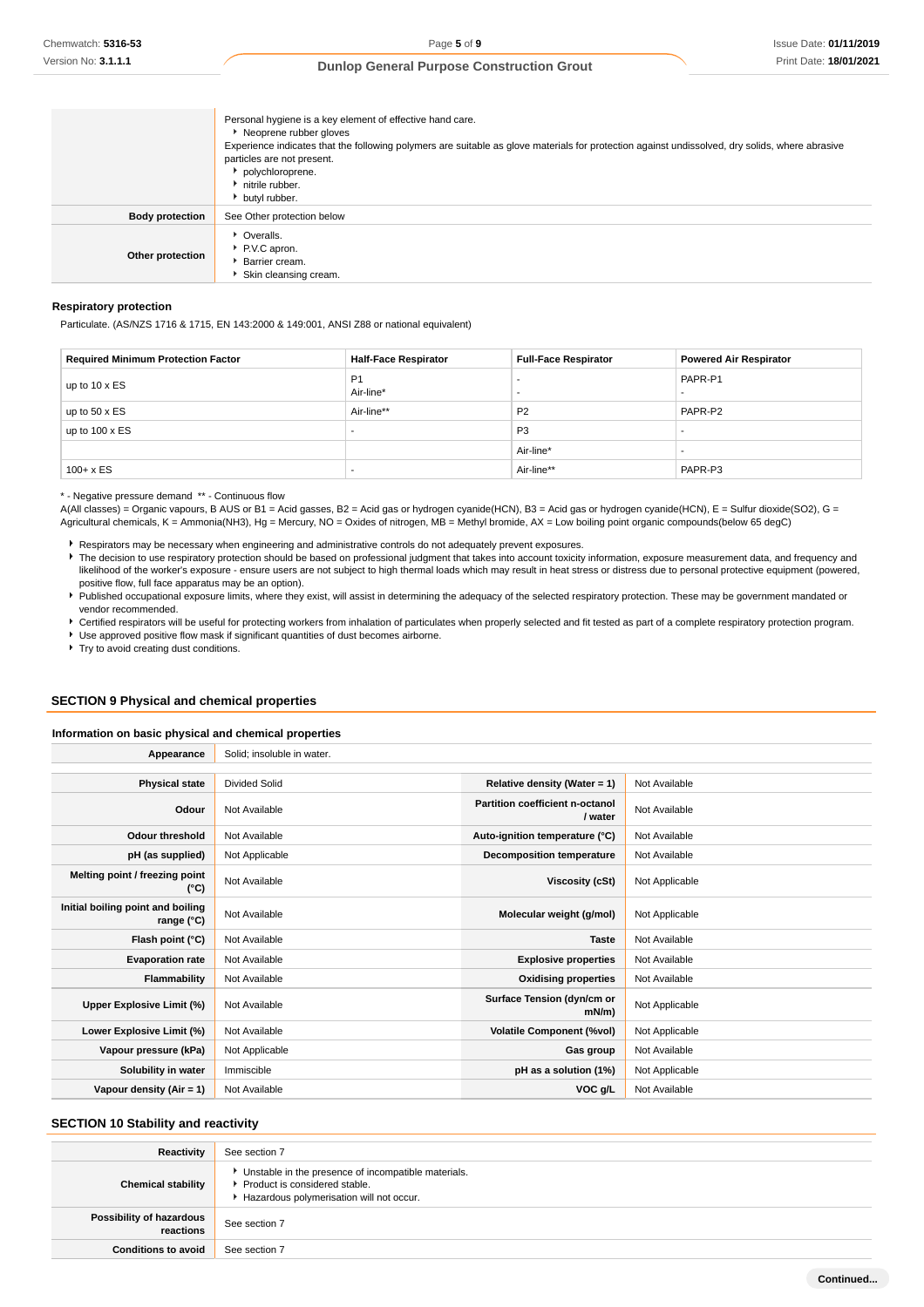|                        | Personal hygiene is a key element of effective hand care.<br>Neoprene rubber gloves<br>Experience indicates that the following polymers are suitable as glove materials for protection against undissolved, dry solids, where abrasive<br>particles are not present.<br>polychloroprene.<br>nitrile rubber.<br>butyl rubber. |
|------------------------|------------------------------------------------------------------------------------------------------------------------------------------------------------------------------------------------------------------------------------------------------------------------------------------------------------------------------|
| <b>Body protection</b> | See Other protection below                                                                                                                                                                                                                                                                                                   |
| Other protection       | • Overalls.<br>P.V.C apron.<br>* Barrier cream.<br>Skin cleansing cream.                                                                                                                                                                                                                                                     |

# **Respiratory protection**

Particulate. (AS/NZS 1716 & 1715, EN 143:2000 & 149:001, ANSI Z88 or national equivalent)

| <b>Required Minimum Protection Factor</b> | <b>Half-Face Respirator</b> | <b>Full-Face Respirator</b> | <b>Powered Air Respirator</b> |
|-------------------------------------------|-----------------------------|-----------------------------|-------------------------------|
| up to $10 \times ES$                      | P <sub>1</sub><br>Air-line* |                             | PAPR-P1                       |
| up to $50 \times ES$                      | Air-line**                  | <b>P2</b>                   | PAPR-P2                       |
| up to $100 \times ES$                     |                             | P <sub>3</sub>              |                               |
|                                           |                             | Air-line*                   |                               |
| $100 + x ES$                              |                             | Air-line**                  | PAPR-P3                       |

\* - Negative pressure demand \*\* - Continuous flow

A(All classes) = Organic vapours, B AUS or B1 = Acid gasses, B2 = Acid gas or hydrogen cyanide(HCN), B3 = Acid gas or hydrogen cyanide(HCN), E = Sulfur dioxide(SO2), G = Agricultural chemicals, K = Ammonia(NH3), Hg = Mercury, NO = Oxides of nitrogen, MB = Methyl bromide, AX = Low boiling point organic compounds(below 65 degC)

Respirators may be necessary when engineering and administrative controls do not adequately prevent exposures.

The decision to use respiratory protection should be based on professional judgment that takes into account toxicity information, exposure measurement data, and frequency and likelihood of the worker's exposure - ensure users are not subject to high thermal loads which may result in heat stress or distress due to personal protective equipment (powered, positive flow, full face apparatus may be an option).

Published occupational exposure limits, where they exist, will assist in determining the adequacy of the selected respiratory protection. These may be government mandated or vendor recommended.

Certified respirators will be useful for protecting workers from inhalation of particulates when properly selected and fit tested as part of a complete respiratory protection program. Use approved positive flow mask if significant quantities of dust becomes airborne.

**F** Try to avoid creating dust conditions.

### **SECTION 9 Physical and chemical properties**

#### **Information on basic physical and chemical properties**

| Appearance                                      | Solid; insoluble in water. |                                            |                |
|-------------------------------------------------|----------------------------|--------------------------------------------|----------------|
|                                                 |                            |                                            |                |
| <b>Physical state</b>                           | <b>Divided Solid</b>       | Relative density (Water = $1$ )            | Not Available  |
| Odour                                           | Not Available              | Partition coefficient n-octanol<br>/ water | Not Available  |
| <b>Odour threshold</b>                          | Not Available              | Auto-ignition temperature (°C)             | Not Available  |
| pH (as supplied)                                | Not Applicable             | Decomposition temperature                  | Not Available  |
| Melting point / freezing point<br>(°C)          | Not Available              | Viscosity (cSt)                            | Not Applicable |
| Initial boiling point and boiling<br>range (°C) | Not Available              | Molecular weight (g/mol)                   | Not Applicable |
| Flash point (°C)                                | Not Available              | <b>Taste</b>                               | Not Available  |
| <b>Evaporation rate</b>                         | Not Available              | <b>Explosive properties</b>                | Not Available  |
| Flammability                                    | Not Available              | <b>Oxidising properties</b>                | Not Available  |
| Upper Explosive Limit (%)                       | Not Available              | Surface Tension (dyn/cm or<br>$mN/m$ )     | Not Applicable |
| Lower Explosive Limit (%)                       | Not Available              | <b>Volatile Component (%vol)</b>           | Not Applicable |
| Vapour pressure (kPa)                           | Not Applicable             | Gas group                                  | Not Available  |
| Solubility in water                             | Immiscible                 | pH as a solution (1%)                      | Not Applicable |
| Vapour density (Air = 1)                        | Not Available              | VOC g/L                                    | Not Available  |

### **SECTION 10 Stability and reactivity**

| Reactivity                            | See section 7                                                                                                                        |
|---------------------------------------|--------------------------------------------------------------------------------------------------------------------------------------|
| <b>Chemical stability</b>             | • Unstable in the presence of incompatible materials.<br>▶ Product is considered stable.<br>Hazardous polymerisation will not occur. |
| Possibility of hazardous<br>reactions | See section 7                                                                                                                        |
| <b>Conditions to avoid</b>            | See section 7                                                                                                                        |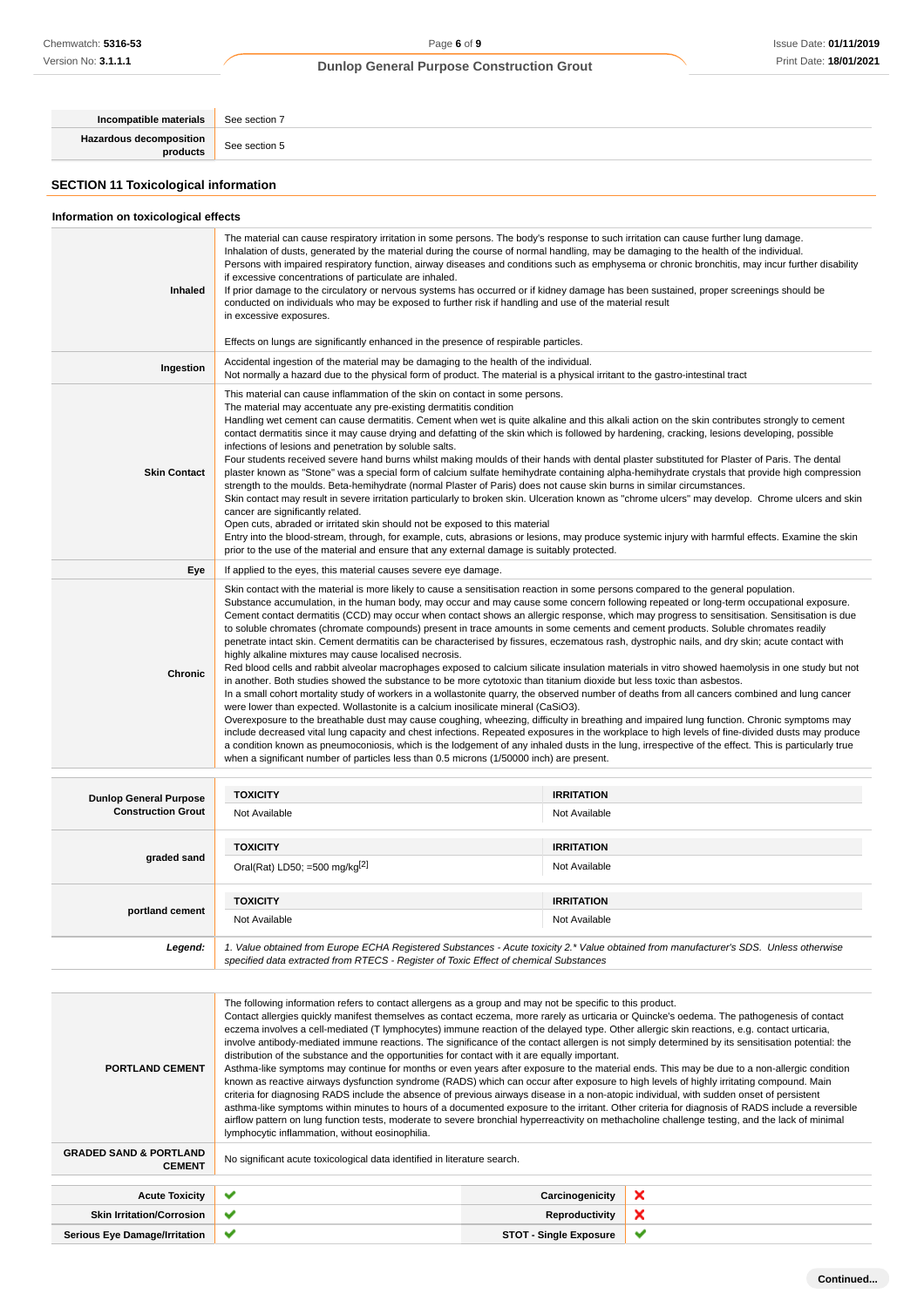**Incompatible materials** See section 7 **Hazardous decomposition** See section 5 **SECTION 11 Toxicological information Information on toxicological effects**

| <b>Inhaled</b>                                      | The material can cause respiratory irritation in some persons. The body's response to such irritation can cause further lung damage.<br>Inhalation of dusts, generated by the material during the course of normal handling, may be damaging to the health of the individual.<br>Persons with impaired respiratory function, airway diseases and conditions such as emphysema or chronic bronchitis, may incur further disability<br>if excessive concentrations of particulate are inhaled.<br>If prior damage to the circulatory or nervous systems has occurred or if kidney damage has been sustained, proper screenings should be<br>conducted on individuals who may be exposed to further risk if handling and use of the material result<br>in excessive exposures.<br>Effects on lungs are significantly enhanced in the presence of respirable particles.                                                                                                                                                                                                                                                                                                                                                                                                                                                                                                                                                                                                                                                                                                                                                                                                                                                                                                                                                                                      |                   |  |  |
|-----------------------------------------------------|----------------------------------------------------------------------------------------------------------------------------------------------------------------------------------------------------------------------------------------------------------------------------------------------------------------------------------------------------------------------------------------------------------------------------------------------------------------------------------------------------------------------------------------------------------------------------------------------------------------------------------------------------------------------------------------------------------------------------------------------------------------------------------------------------------------------------------------------------------------------------------------------------------------------------------------------------------------------------------------------------------------------------------------------------------------------------------------------------------------------------------------------------------------------------------------------------------------------------------------------------------------------------------------------------------------------------------------------------------------------------------------------------------------------------------------------------------------------------------------------------------------------------------------------------------------------------------------------------------------------------------------------------------------------------------------------------------------------------------------------------------------------------------------------------------------------------------------------------------|-------------------|--|--|
| Ingestion                                           | Accidental ingestion of the material may be damaging to the health of the individual.<br>Not normally a hazard due to the physical form of product. The material is a physical irritant to the gastro-intestinal tract                                                                                                                                                                                                                                                                                                                                                                                                                                                                                                                                                                                                                                                                                                                                                                                                                                                                                                                                                                                                                                                                                                                                                                                                                                                                                                                                                                                                                                                                                                                                                                                                                                   |                   |  |  |
| <b>Skin Contact</b>                                 | This material can cause inflammation of the skin on contact in some persons.<br>The material may accentuate any pre-existing dermatitis condition<br>Handling wet cement can cause dermatitis. Cement when wet is quite alkaline and this alkali action on the skin contributes strongly to cement<br>contact dermatitis since it may cause drying and defatting of the skin which is followed by hardening, cracking, lesions developing, possible<br>infections of lesions and penetration by soluble salts.<br>Four students received severe hand burns whilst making moulds of their hands with dental plaster substituted for Plaster of Paris. The dental<br>plaster known as "Stone" was a special form of calcium sulfate hemihydrate containing alpha-hemihydrate crystals that provide high compression<br>strength to the moulds. Beta-hemihydrate (normal Plaster of Paris) does not cause skin burns in similar circumstances.<br>Skin contact may result in severe irritation particularly to broken skin. Ulceration known as "chrome ulcers" may develop. Chrome ulcers and skin<br>cancer are significantly related.<br>Open cuts, abraded or irritated skin should not be exposed to this material<br>Entry into the blood-stream, through, for example, cuts, abrasions or lesions, may produce systemic injury with harmful effects. Examine the skin<br>prior to the use of the material and ensure that any external damage is suitably protected.                                                                                                                                                                                                                                                                                                                                                                                 |                   |  |  |
| Eye                                                 | If applied to the eyes, this material causes severe eye damage.                                                                                                                                                                                                                                                                                                                                                                                                                                                                                                                                                                                                                                                                                                                                                                                                                                                                                                                                                                                                                                                                                                                                                                                                                                                                                                                                                                                                                                                                                                                                                                                                                                                                                                                                                                                          |                   |  |  |
| Chronic                                             | Skin contact with the material is more likely to cause a sensitisation reaction in some persons compared to the general population.<br>Substance accumulation, in the human body, may occur and may cause some concern following repeated or long-term occupational exposure.<br>Cement contact dermatitis (CCD) may occur when contact shows an allergic response, which may progress to sensitisation. Sensitisation is due<br>to soluble chromates (chromate compounds) present in trace amounts in some cements and cement products. Soluble chromates readily<br>penetrate intact skin. Cement dermatitis can be characterised by fissures, eczematous rash, dystrophic nails, and dry skin; acute contact with<br>highly alkaline mixtures may cause localised necrosis.<br>Red blood cells and rabbit alveolar macrophages exposed to calcium silicate insulation materials in vitro showed haemolysis in one study but not<br>in another. Both studies showed the substance to be more cytotoxic than titanium dioxide but less toxic than asbestos.<br>In a small cohort mortality study of workers in a wollastonite quarry, the observed number of deaths from all cancers combined and lung cancer<br>were lower than expected. Wollastonite is a calcium inosilicate mineral (CaSiO3).<br>Overexposure to the breathable dust may cause coughing, wheezing, difficulty in breathing and impaired lung function. Chronic symptoms may<br>include decreased vital lung capacity and chest infections. Repeated exposures in the workplace to high levels of fine-divided dusts may produce<br>a condition known as pneumoconiosis, which is the lodgement of any inhaled dusts in the lung, irrespective of the effect. This is particularly true<br>when a significant number of particles less than 0.5 microns (1/50000 inch) are present. |                   |  |  |
| <b>Dunlop General Purpose</b><br>Conciruction Crout | <b>TOXICITY</b>                                                                                                                                                                                                                                                                                                                                                                                                                                                                                                                                                                                                                                                                                                                                                                                                                                                                                                                                                                                                                                                                                                                                                                                                                                                                                                                                                                                                                                                                                                                                                                                                                                                                                                                                                                                                                                          | <b>IRRITATION</b> |  |  |
|                                                     |                                                                                                                                                                                                                                                                                                                                                                                                                                                                                                                                                                                                                                                                                                                                                                                                                                                                                                                                                                                                                                                                                                                                                                                                                                                                                                                                                                                                                                                                                                                                                                                                                                                                                                                                                                                                                                                          |                   |  |  |

| <b>Dunlop General Purpose</b><br><b>Construction Grout</b> | TOXICITY                                                                                                                                                                                                                        | <b>IRRITATION</b> |
|------------------------------------------------------------|---------------------------------------------------------------------------------------------------------------------------------------------------------------------------------------------------------------------------------|-------------------|
|                                                            | Not Available                                                                                                                                                                                                                   | Not Available     |
|                                                            | <b>TOXICITY</b>                                                                                                                                                                                                                 | <b>IRRITATION</b> |
| graded sand                                                | Oral(Rat) LD50; =500 mg/kg $^{[2]}$                                                                                                                                                                                             | Not Available     |
|                                                            |                                                                                                                                                                                                                                 |                   |
| portland cement                                            | <b>TOXICITY</b>                                                                                                                                                                                                                 | <b>IRRITATION</b> |
|                                                            | Not Available                                                                                                                                                                                                                   | Not Available     |
| Legend:                                                    | 1. Value obtained from Europe ECHA Registered Substances - Acute toxicity 2.* Value obtained from manufacturer's SDS. Unless otherwise<br>specified data extracted from RTECS - Register of Toxic Effect of chemical Substances |                   |

| <b>PORTLAND CEMENT</b>                             | The following information refers to contact allergens as a group and may not be specific to this product.<br>Contact allergies quickly manifest themselves as contact eczema, more rarely as urticaria or Quincke's oedema. The pathogenesis of contact<br>eczema involves a cell-mediated (T lymphocytes) immune reaction of the delayed type. Other allergic skin reactions, e.g. contact urticaria,<br>involve antibody-mediated immune reactions. The significance of the contact allergen is not simply determined by its sensitisation potential: the<br>distribution of the substance and the opportunities for contact with it are equally important.<br>Asthma-like symptoms may continue for months or even years after exposure to the material ends. This may be due to a non-allergic condition<br>known as reactive airways dysfunction syndrome (RADS) which can occur after exposure to high levels of highly irritating compound. Main<br>criteria for diagnosing RADS include the absence of previous airways disease in a non-atopic individual, with sudden onset of persistent<br>asthma-like symptoms within minutes to hours of a documented exposure to the irritant. Other criteria for diagnosis of RADS include a reversible<br>airflow pattern on lung function tests, moderate to severe bronchial hyperreactivity on methacholine challenge testing, and the lack of minimal<br>lymphocytic inflammation, without eosinophilia. |                               |   |
|----------------------------------------------------|---------------------------------------------------------------------------------------------------------------------------------------------------------------------------------------------------------------------------------------------------------------------------------------------------------------------------------------------------------------------------------------------------------------------------------------------------------------------------------------------------------------------------------------------------------------------------------------------------------------------------------------------------------------------------------------------------------------------------------------------------------------------------------------------------------------------------------------------------------------------------------------------------------------------------------------------------------------------------------------------------------------------------------------------------------------------------------------------------------------------------------------------------------------------------------------------------------------------------------------------------------------------------------------------------------------------------------------------------------------------------------------------------------------------------------------------------------------|-------------------------------|---|
| <b>GRADED SAND &amp; PORTLAND</b><br><b>CEMENT</b> | No significant acute toxicological data identified in literature search.                                                                                                                                                                                                                                                                                                                                                                                                                                                                                                                                                                                                                                                                                                                                                                                                                                                                                                                                                                                                                                                                                                                                                                                                                                                                                                                                                                                      |                               |   |
|                                                    |                                                                                                                                                                                                                                                                                                                                                                                                                                                                                                                                                                                                                                                                                                                                                                                                                                                                                                                                                                                                                                                                                                                                                                                                                                                                                                                                                                                                                                                               |                               |   |
| <b>Acute Toxicity</b>                              | ✔                                                                                                                                                                                                                                                                                                                                                                                                                                                                                                                                                                                                                                                                                                                                                                                                                                                                                                                                                                                                                                                                                                                                                                                                                                                                                                                                                                                                                                                             | Carcinogenicity               | × |
| <b>Skin Irritation/Corrosion</b>                   | ✔                                                                                                                                                                                                                                                                                                                                                                                                                                                                                                                                                                                                                                                                                                                                                                                                                                                                                                                                                                                                                                                                                                                                                                                                                                                                                                                                                                                                                                                             | Reproductivity                | × |
| <b>Serious Eye Damage/Irritation</b>               | ✔                                                                                                                                                                                                                                                                                                                                                                                                                                                                                                                                                                                                                                                                                                                                                                                                                                                                                                                                                                                                                                                                                                                                                                                                                                                                                                                                                                                                                                                             | <b>STOT - Single Exposure</b> | ັ |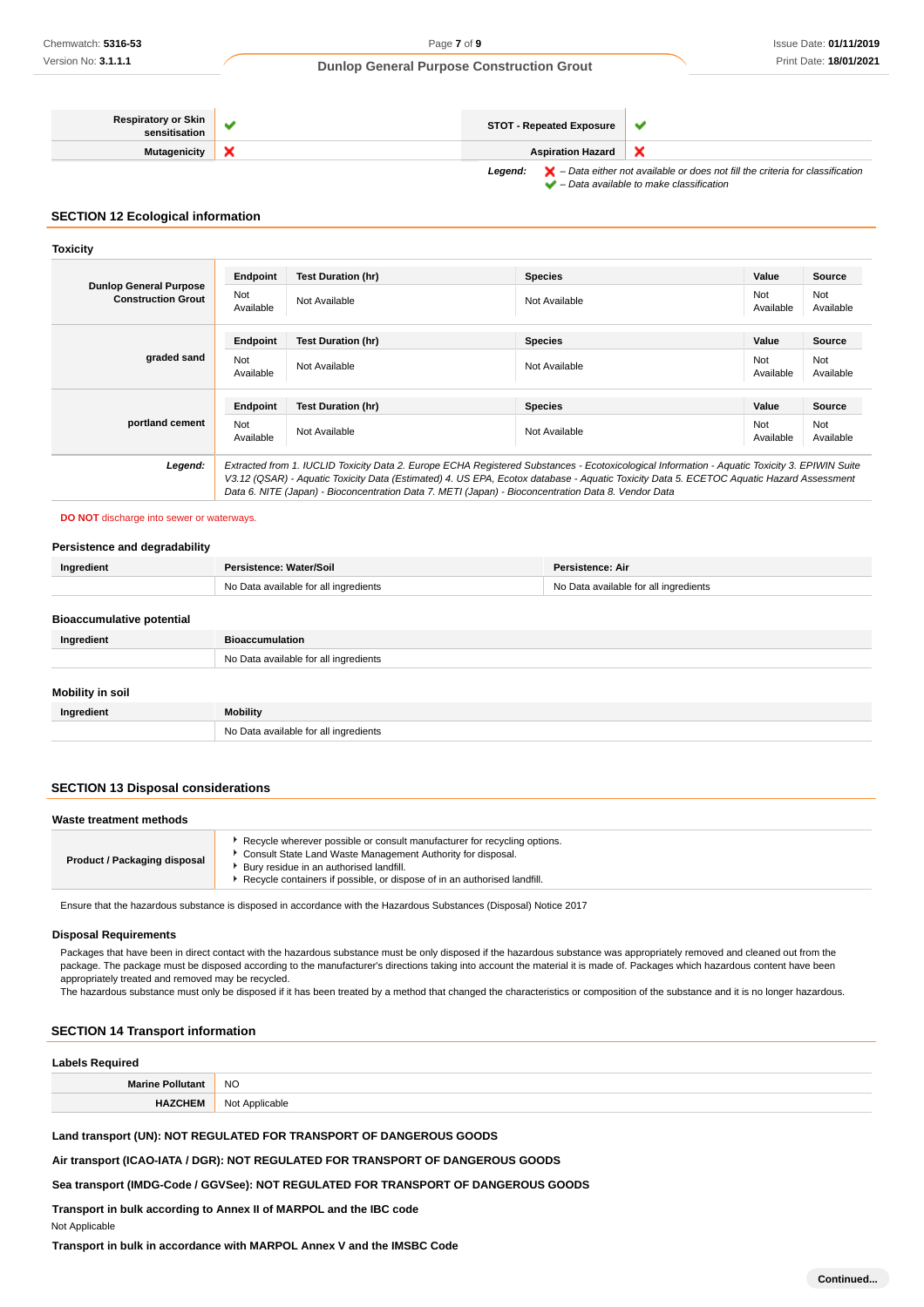| <b>Respiratory or Skin</b><br>sensitisation | <b>STOT - Repeated Exposure</b> |                                                                                                                                                                     |
|---------------------------------------------|---------------------------------|---------------------------------------------------------------------------------------------------------------------------------------------------------------------|
| Mutagenicity                                | <b>Aspiration Hazard</b>        |                                                                                                                                                                     |
|                                             | Leaend:                         | $\blacktriangleright$ – Data either not available or does not fill the criteria for classification<br>$\blacktriangleright$ - Data available to make classification |

# **SECTION 12 Ecological information**

#### **Toxicity**

| <b>Dunlop General Purpose</b><br><b>Construction Grout</b> | Endpoint<br>Not<br>Available | <b>Test Duration (hr)</b><br>Not Available                                                                                                                                                                                                                                                                                                                                                      | <b>Species</b><br>Not Available | Value<br>Not<br>Available | Source<br>Not<br>Available |
|------------------------------------------------------------|------------------------------|-------------------------------------------------------------------------------------------------------------------------------------------------------------------------------------------------------------------------------------------------------------------------------------------------------------------------------------------------------------------------------------------------|---------------------------------|---------------------------|----------------------------|
| graded sand                                                | Endpoint<br>Not<br>Available | <b>Test Duration (hr)</b><br>Not Available                                                                                                                                                                                                                                                                                                                                                      | <b>Species</b><br>Not Available | Value<br>Not<br>Available | Source<br>Not<br>Available |
| portland cement                                            | Endpoint<br>Not<br>Available | <b>Test Duration (hr)</b><br>Not Available                                                                                                                                                                                                                                                                                                                                                      | <b>Species</b><br>Not Available | Value<br>Not<br>Available | Source<br>Not<br>Available |
| Legend:                                                    |                              | Extracted from 1. IUCLID Toxicity Data 2. Europe ECHA Registered Substances - Ecotoxicological Information - Aquatic Toxicity 3. EPIWIN Suite<br>V3.12 (QSAR) - Aquatic Toxicity Data (Estimated) 4. US EPA, Ecotox database - Aquatic Toxicity Data 5. ECETOC Aquatic Hazard Assessment<br>Data 6. NITE (Japan) - Bioconcentration Data 7. METI (Japan) - Bioconcentration Data 8. Vendor Data |                                 |                           |                            |

**DO NOT** discharge into sewer or waterways.

| Persistence and degradability    |                                       |                                       |
|----------------------------------|---------------------------------------|---------------------------------------|
| Ingredient                       | Persistence: Water/Soil               | Persistence: Air                      |
|                                  | No Data available for all ingredients | No Data available for all ingredients |
| <b>Bioaccumulative potential</b> |                                       |                                       |
|                                  |                                       |                                       |
| Ingredient                       | <b>Bioaccumulation</b>                |                                       |
|                                  | No Data available for all ingredients |                                       |
|                                  |                                       |                                       |
| <b>Mobility in soil</b>          |                                       |                                       |
| Ingredient                       | <b>Mobility</b>                       |                                       |
|                                  | No Data available for all ingredients |                                       |

# **SECTION 13 Disposal considerations**

| Waste treatment methods             |                                                                                                                                                                                                                                                                |
|-------------------------------------|----------------------------------------------------------------------------------------------------------------------------------------------------------------------------------------------------------------------------------------------------------------|
| <b>Product / Packaging disposal</b> | Recycle wherever possible or consult manufacturer for recycling options.<br>Consult State Land Waste Management Authority for disposal.<br>Bury residue in an authorised landfill.<br>Recycle containers if possible, or dispose of in an authorised landfill. |

Ensure that the hazardous substance is disposed in accordance with the Hazardous Substances (Disposal) Notice 2017

#### **Disposal Requirements**

Packages that have been in direct contact with the hazardous substance must be only disposed if the hazardous substance was appropriately removed and cleaned out from the package. The package must be disposed according to the manufacturer's directions taking into account the material it is made of. Packages which hazardous content have been appropriately treated and removed may be recycled. The hazardous substance must only be disposed if it has been treated by a method that changed the characteristics or composition of the substance and it is no longer hazardous.

# **SECTION 14 Transport information**

# **Labels Required**

| Labels Required<br>.    |                |
|-------------------------|----------------|
| <b>Marine Pollutant</b> | <b>NO</b>      |
| "HEM.                   | Not Applicable |

**Land transport (UN): NOT REGULATED FOR TRANSPORT OF DANGEROUS GOODS**

**Air transport (ICAO-IATA / DGR): NOT REGULATED FOR TRANSPORT OF DANGEROUS GOODS**

**Sea transport (IMDG-Code / GGVSee): NOT REGULATED FOR TRANSPORT OF DANGEROUS GOODS**

**Transport in bulk according to Annex II of MARPOL and the IBC code**

Not Applicable

**Transport in bulk in accordance with MARPOL Annex V and the IMSBC Code**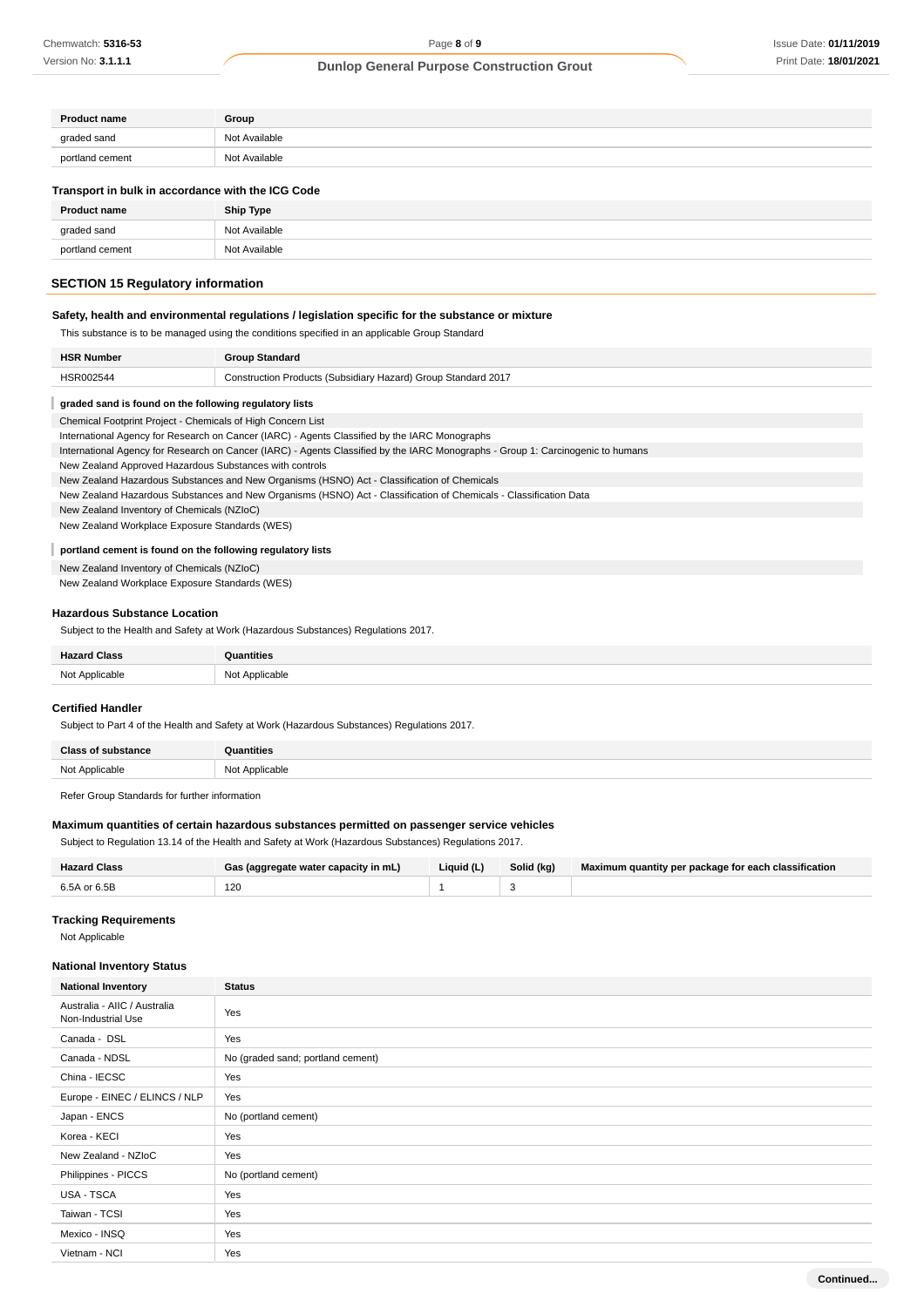| <b>Product name</b> | Group         |
|---------------------|---------------|
| graded sand         | Not Available |
| portland cement     | Not Available |

#### **Transport in bulk in accordance with the ICG Code**

| <b>Product name</b> | <b>Ship Type</b> |
|---------------------|------------------|
| graded sand         | Not Available    |
| portland cement     | Not Available    |

# **SECTION 15 Regulatory information**

# **Safety, health and environmental regulations / legislation specific for the substance or mixture**

This substance is to be managed using the conditions specified in an applicable Group Standard

| <b>HSR Number</b> | <b>Group Standard</b>                                         |
|-------------------|---------------------------------------------------------------|
| <b>HSR002544</b>  | Construction Products (Subsidiary Hazard) Group Standard 2017 |

#### **graded sand is found on the following regulatory lists**

Chemical Footprint Project - Chemicals of High Concern List

International Agency for Research on Cancer (IARC) - Agents Classified by the IARC Monographs

International Agency for Research on Cancer (IARC) - Agents Classified by the IARC Monographs - Group 1: Carcinogenic to humans

New Zealand Approved Hazardous Substances with controls

New Zealand Hazardous Substances and New Organisms (HSNO) Act - Classification of Chemicals

New Zealand Hazardous Substances and New Organisms (HSNO) Act - Classification of Chemicals - Classification Data

New Zealand Inventory of Chemicals (NZIoC)

New Zealand Workplace Exposure Standards (WES)

#### I **portland cement is found on the following regulatory lists**

New Zealand Inventory of Chemicals (NZIoC)

New Zealand Workplace Exposure Standards (WES)

#### **Hazardous Substance Location**

Subject to the Health and Safety at Work (Hazardous Substances) Regulations 2017.

| <b>Hazard Class</b> | <b>Quantities</b> |
|---------------------|-------------------|
| Not Applicable      | Not Applicable    |

#### **Certified Handler**

I

Subject to Part 4 of the Health and Safety at Work (Hazardous Substances) Regulations 2017.

| <b>Class of substance</b> | <b>Quantities</b> |
|---------------------------|-------------------|
| Not Applicable            | Not Applicable    |

Refer Group Standards for further information

### **Maximum quantities of certain hazardous substances permitted on passenger service vehicles**

Subject to Regulation 13.14 of the Health and Safety at Work (Hazardous Substances) Regulations 2017.

| <b>Hazard Class</b> | Gas (aggregate water capacity in mL) | Liquid (L) | Solid (kg) | Maximum quantity per package for each classification |
|---------------------|--------------------------------------|------------|------------|------------------------------------------------------|
| 6.5A or 6.5B        | 120                                  |            |            |                                                      |

# **Tracking Requirements**

Not Applicable

### **National Inventory Status**

| <b>National Inventory</b>                          | <b>Status</b>                     |  |  |  |
|----------------------------------------------------|-----------------------------------|--|--|--|
| Australia - AIIC / Australia<br>Non-Industrial Use | Yes                               |  |  |  |
| Canada - DSL                                       | Yes                               |  |  |  |
| Canada - NDSL                                      | No (graded sand; portland cement) |  |  |  |
| China - IECSC                                      | Yes                               |  |  |  |
| Europe - EINEC / ELINCS / NLP                      | Yes                               |  |  |  |
| Japan - ENCS                                       | No (portland cement)              |  |  |  |
| Korea - KECI                                       | Yes                               |  |  |  |
| New Zealand - NZIoC                                | Yes                               |  |  |  |
| Philippines - PICCS                                | No (portland cement)              |  |  |  |
| USA - TSCA                                         | Yes                               |  |  |  |
| Taiwan - TCSI                                      | Yes                               |  |  |  |
| Mexico - INSQ                                      | Yes                               |  |  |  |
| Vietnam - NCI                                      | Yes                               |  |  |  |